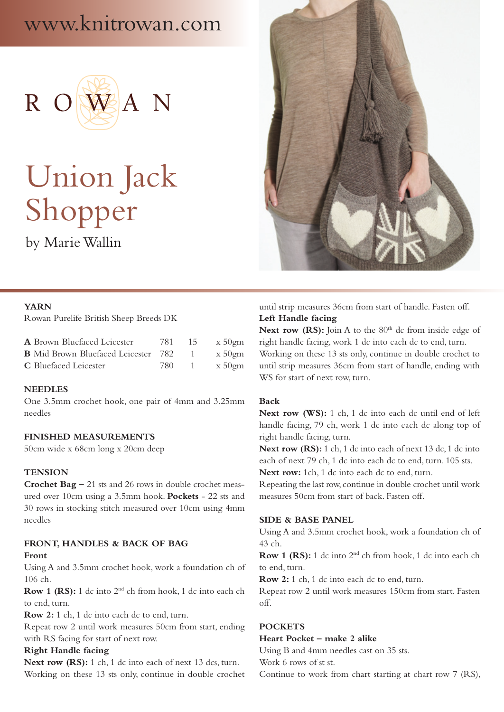# www.knitrowan.com



# Union Jack Shopper

by Marie Wallin



#### **YARN**

Rowan Purelife British Sheep Breeds DK

| A Brown Bluefaced Leicester                | - 781 - | 15 | $x\,50$ gm |
|--------------------------------------------|---------|----|------------|
| <b>B</b> Mid Brown Bluefaced Leicester 782 |         |    | $x\,50$ gm |
| <b>C</b> Bluefaced Leicester               | 780     |    | x 50gm     |

#### **NEEDLES**

One 3.5mm crochet hook, one pair of 4mm and 3.25mm needles

#### **FINISHED MEASUREMENTS**

50cm wide x 68cm long x 20cm deep

#### **TENSION**

**Crochet Bag –** 21 sts and 26 rows in double crochet measured over 10cm using a 3.5mm hook. **Pockets** - 22 sts and 30 rows in stocking stitch measured over 10cm using 4mm needles

# **FRONT, HANDLES & BACK OF BAG**

#### **Front**

Using A and 3.5mm crochet hook, work a foundation ch of 106 ch.

**Row 1 (RS):** 1 dc into 2<sup>nd</sup> ch from hook, 1 dc into each ch to end, turn.

**Row 2:** 1 ch, 1 dc into each dc to end, turn.

Repeat row 2 until work measures 50cm from start, ending with RS facing for start of next row.

#### **Right Handle facing**

Next row (RS): 1 ch, 1 dc into each of next 13 dcs, turn. Working on these 13 sts only, continue in double crochet until strip measures 36cm from start of handle. Fasten off. **Left Handle facing**

Next row (RS): Join A to the 80<sup>th</sup> dc from inside edge of right handle facing, work 1 dc into each dc to end, turn. Working on these 13 sts only, continue in double crochet to until strip measures 36cm from start of handle, ending with WS for start of next row, turn.

#### **Back**

**Next row (WS):** 1 ch, 1 dc into each dc until end of left handle facing, 79 ch, work 1 dc into each dc along top of right handle facing, turn.

Next row (RS): 1 ch, 1 dc into each of next 13 dc, 1 dc into each of next 79 ch, 1 dc into each dc to end, turn. 105 sts. **Next row:** 1ch, 1 dc into each dc to end, turn.

Repeating the last row, continue in double crochet until work measures 50cm from start of back. Fasten off.

#### **SIDE & BASE PANEL**

Using A and 3.5mm crochet hook, work a foundation ch of 43 ch.

**Row 1 (RS):** 1 dc into 2nd ch from hook, 1 dc into each ch to end, turn.

**Row 2:** 1 ch, 1 dc into each dc to end, turn.

Repeat row 2 until work measures 150cm from start. Fasten off.

# **POCKETS**

## **Heart Pocket – make 2 alike**

Using B and 4mm needles cast on 35 sts.

Work 6 rows of st st.

Continue to work from chart starting at chart row 7 (RS),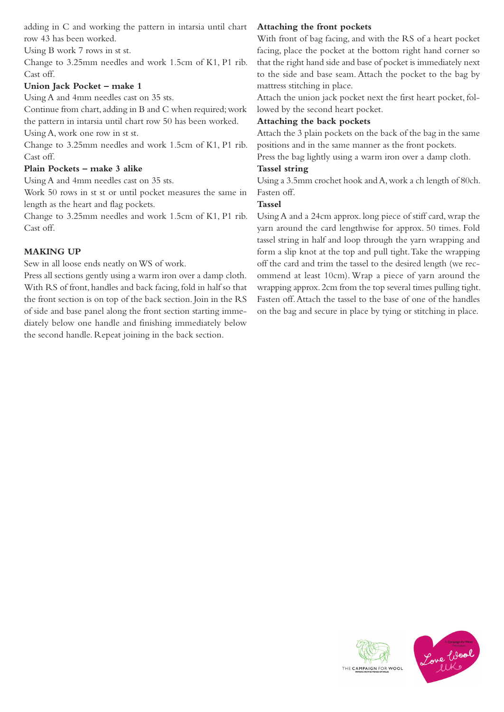adding in C and working the pattern in intarsia until chart row 43 has been worked.

Using B work 7 rows in st st.

Change to 3.25mm needles and work 1.5cm of K1, P1 rib. Cast off.

# **Union Jack Pocket – make 1**

Using A and 4mm needles cast on 35 sts.

Continue from chart, adding in B and C when required; work the pattern in intarsia until chart row 50 has been worked.

Using A, work one row in st st.

Change to 3.25mm needles and work 1.5cm of K1, P1 rib. Cast off.

# **Plain Pockets – make 3 alike**

Using A and 4mm needles cast on 35 sts.

Work 50 rows in st st or until pocket measures the same in length as the heart and flag pockets.

Change to 3.25mm needles and work 1.5cm of K1, P1 rib. Cast off.

# **MAKING UP**

Sew in all loose ends neatly on WS of work.

Press all sections gently using a warm iron over a damp cloth. With RS of front, handles and back facing, fold in half so that the front section is on top of the back section. Join in the RS of side and base panel along the front section starting immediately below one handle and finishing immediately below the second handle. Repeat joining in the back section.

# **Attaching the front pockets**

With front of bag facing, and with the RS of a heart pocket facing, place the pocket at the bottom right hand corner so that the right hand side and base of pocket is immediately next to the side and base seam. Attach the pocket to the bag by mattress stitching in place.

Attach the union jack pocket next the first heart pocket, followed by the second heart pocket.

# **Attaching the back pockets**

Attach the 3 plain pockets on the back of the bag in the same positions and in the same manner as the front pockets.

Press the bag lightly using a warm iron over a damp cloth.

# **Tassel string**

Using a 3.5mm crochet hook and A, work a ch length of 80ch. Fasten off.

# **Tassel**

Using A and a 24cm approx. long piece of stiff card, wrap the yarn around the card lengthwise for approx. 50 times. Fold tassel string in half and loop through the yarn wrapping and form a slip knot at the top and pull tight. Take the wrapping off the card and trim the tassel to the desired length (we recommend at least 10cm). Wrap a piece of yarn around the wrapping approx. 2cm from the top several times pulling tight. Fasten off. Attach the tassel to the base of one of the handles on the bag and secure in place by tying or stitching in place.